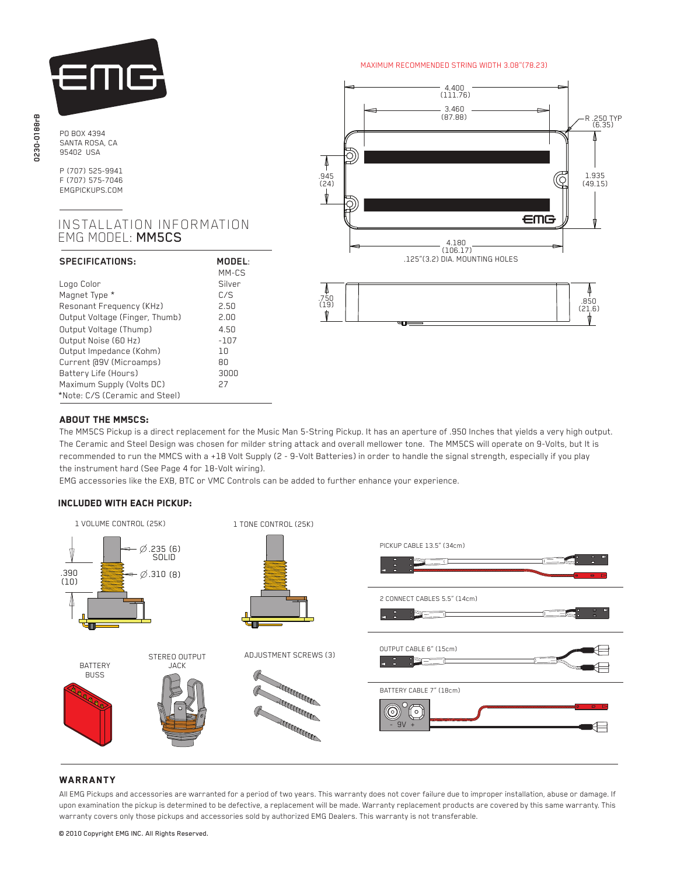

PO BOX 4394 SANTA ROSA, CA 95402 USA

P (707) 525-9941 F (707) 575-7046 EMGPICKUPS.COM

# INSTALLATION INFORMATION EMG MODEL: MM5CS

| SPECIFICATIONS:                | MODEL   |
|--------------------------------|---------|
|                                | $MM-CS$ |
| Logo Color                     | Silver  |
| Magnet Type *                  | C/S     |
| Resonant Frequency (KHz)       | 2.50    |
| Output Voltage (Finger, Thumb) | 2.00    |
| Output Voltage (Thump)         | 4.50    |
| Output Noise (60 Hz)           | $-107$  |
| Output Impedance (Kohm)        | 1n      |
| Current [09V (Microamps)       | 80      |
| Battery Life (Hours)           | 3000    |
| Maximum Supply (Volts DC)      | 27      |
| *Note: C/S (Ceramic and Steel) |         |

#### MAXIMUM RECOMMENDED STRING WIDTH 3.08"(78.23)



# ABOUT THE MM5CS:

Ĭ

 The MM5CS Pickup is a direct replacement for the Music Man 5-String Pickup. It has an aperture of .950 Inches that yields a very high output. The Ceramic and Steel Design was chosen for milder string attack and overall mellower tone. The MM5CS will operate on 9-Volts, but It is recommended to run the MMCS with a +18 Volt Supply (2 - 9-Volt Batteries) in order to handle the signal strength, especially if you play the instrument hard (See Page 4 for 18-Volt wiring).

EMG accessories like the EXB, BTC or VMC Controls can be added to further enhance your experience.

#### Included with each pickup:



# **WARRANTY**

All EMG Pickups and accessories are warranted for a period of two years. This warranty does not cover failure due to improper installation, abuse or damage. If upon examination the pickup is determined to be defective, a replacement will be made. Warranty replacement products are covered by this same warranty. This warranty covers only those pickups and accessories sold by authorized EMG Dealers. This warranty is not transferable.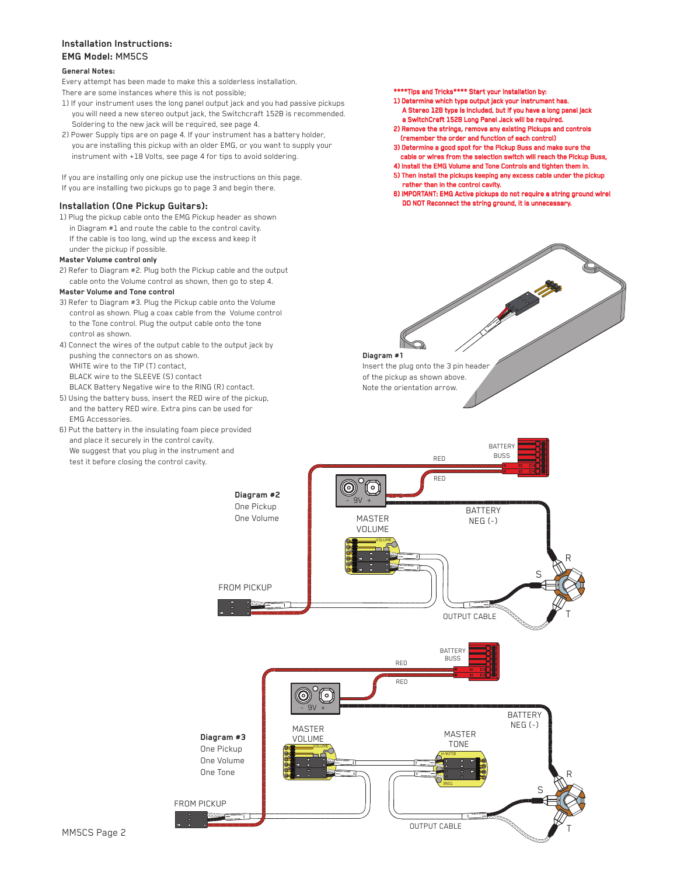## **Installation Instructions: EMG Model:** MM5CS

#### **General Notes:**

Every attempt has been made to make this a solderless installation.

- There are some instances where this is not possible;
- 1) If your instrument uses the long panel output jack and you had passive pickups you will need a new stereo output jack, the Switchcraft 152B is recommended. Soldering to the new jack will be required, see page 4.
- 2) Power Supply tips are on page 4. If your instrument has a battery holder, you are installing this pickup with an older EMG, or you want to supply your instrument with +18 Volts, see page 4 for tips to avoid soldering.
- If you are installing only one pickup use the instructions on this page.
- If you are installing two pickups go to page 3 and begin there.

1) Plug the pickup cable onto the EMG Pickup header as shown in Diagram #1 and route the cable to the control cavity. If the cable is too long, wind up the excess and keep it under the pickup if possible.

#### **Master Volume control only**

2) Refer to Diagram #2. Plug both the Pickup cable and the output cable onto the Volume control as shown, then go to step 4.

#### **Master Volume and Tone control**

- 3) Refer to Diagram #3. Plug the Pickup cable onto the Volume control as shown. Plug a coax cable from the Volume control to the Tone control. Plug the output cable onto the tone control as shown.
- 4) Connect the wires of the output cable to the output jack by pushing the connectors on as shown. WHITE wire to the TIP (T) contact, BLACK wire to the SLEEVE (S) contact BLACK Battery Negative wire to the RING (R) contact.
- 5) Using the battery buss, insert the RED wire of the pickup, and the battery RED wire. Extra pins can be used for EMG Accessories.
- 6) Put the battery in the insulating foam piece provided and place it securely in the control cavity. We suggest that you plug in the instrument and test it before closing the control cavity.

\*\*\*\*Tips and Tricks\*\*\*\* Start your installation by:

- 1) Determine which type output jack your instrument has. A Stereo 12B type is Included, but if you have a long panel jack
- a SwitchCraft 152B Long Panel Jack will be required. 2) Remove the strings, remove any existing Pickups and controls (remember the order and function of each control)
- 3) Determine a good spot for the Pickup Buss and make sure the cable or wires from the selection switch will reach the Pickup Buss,
- 4) Install the EMG Volume and Tone Controls and tighten them in. 5) Then install the pickups keeping any excess cable under the pickup
- rather than in the control cavity. 6) IMPORTANT: EMG Active pickups do not require a string ground wire!
- Installation (One Pickup Guitars): **Installation (One Pickup Guitars)**:

 $\Rightarrow$ 

**Diagram #1** Insert the plug onto the 3 pin header of the pickup as shown above. Note the orientation arrow.

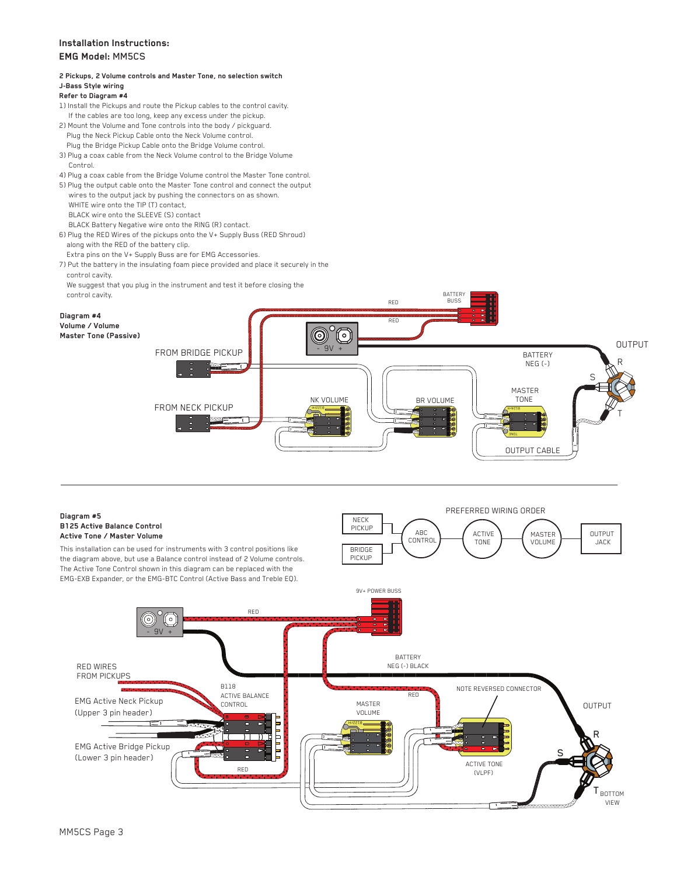# **Installation Instructions: EMG Model:** MM5CS

## **2 Pickups, 2 Volume controls and Master Tone, no selection switch J-Bass Style wiring**

#### **Refer to Diagram #4**

- 1) Install the Pickups and route the Pickup cables to the control cavity. If the cables are too long, keep any excess under the pickup.
- 2) Mount the Volume and Tone controls into the body / pickguard. Plug the Neck Pickup Cable onto the Neck Volume control. Plug the Bridge Pickup Cable onto the Bridge Volume control.
- 3) Plug a coax cable from the Neck Volume control to the Bridge Volume Control.
- 4) Plug a coax cable from the Bridge Volume control the Master Tone control.
- 5) Plug the output cable onto the Master Tone control and connect the output wires to the output jack by pushing the connectors on as shown.
- WHITE wire onto the TIP (T) contact,
- BLACK wire onto the SLEEVE (S) contact
- BLACK Battery Negative wire onto the RING (R) contact.
- 6) Plug the RED Wires of the pickups onto the V+ Supply Buss (RED Shroud) along with the RED of the battery clip.
- Extra pins on the V+ Supply Buss are for EMG Accessories.
- 7) Put the battery in the insulating foam piece provided and place it securely in the control cavity.
- We suggest that you plug in the instrument and test it before closing the



Bandara

B122rH

#### **Diagram #5 B125 Active Balance Control Active Tone / Master Volume**

This installation can be used for instruments with 3 control positions like the diagram above, but use a Balance control instead of 2 Volume controls. The Active Tone Control shown in this diagram can be replaced with the EMG-EXB Expander, or the EMG-BTC Control (Active Bass and Treble EQ).

- 9V +

o)

B118 ACTIVE BALANCE CONTROL

RED

RED



 ACTIVE TONE (VLPF)

> **BOTTOM**  VIEW T

R

S



RED WIRES FROM PICKUPS

EMG Active Neck Pickup (Upper 3 pin header)

EMG Active Bridge Pickup (Lower 3 pin header)